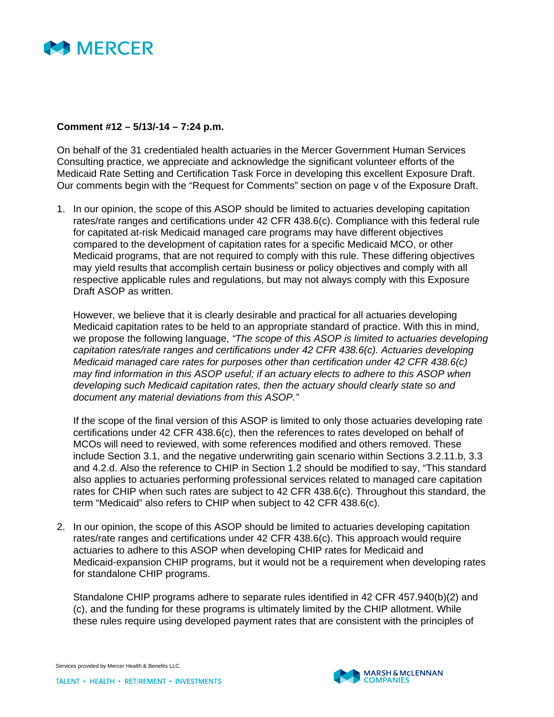

## **Comment #12 – 5/13/-14 – 7:24 p.m.**

On behalf of the 31 credentialed health actuaries in the Mercer Government Human Services Consulting practice, we appreciate and acknowledge the significant volunteer efforts of the Medicaid Rate Setting and Certification Task Force in developing this excellent Exposure Draft. Our comments begin with the "Request for Comments" section on page v of the Exposure Draft.

1. In our opinion, the scope of this ASOP should be limited to actuaries developing capitation rates/rate ranges and certifications under 42 CFR 438.6(c). Compliance with this federal rule for capitated at-risk Medicaid managed care programs may have different objectives compared to the development of capitation rates for a specific Medicaid MCO, or other Medicaid programs, that are not required to comply with this rule. These differing objectives may yield results that accomplish certain business or policy objectives and comply with all respective applicable rules and regulations, but may not always comply with this Exposure Draft ASOP as written.

However, we believe that it is clearly desirable and practical for all actuaries developing Medicaid capitation rates to be held to an appropriate standard of practice. With this in mind, we propose the following language, *"The scope of this ASOP is limited to actuaries developing capitation rates/rate ranges and certifications under 42 CFR 438.6(c). Actuaries developing Medicaid managed care rates for purposes other than certification under 42 CFR 438.6(c) may find information in this ASOP useful; if an actuary elects to adhere to this ASOP when developing such Medicaid capitation rates, then the actuary should clearly state so and document any material deviations from this ASOP."* 

If the scope of the final version of this ASOP is limited to only those actuaries developing rate certifications under 42 CFR 438.6(c), then the references to rates developed on behalf of MCOs will need to reviewed, with some references modified and others removed. These include Section 3.1, and the negative underwriting gain scenario within Sections 3.2.11.b, 3.3 and 4.2.d. Also the reference to CHIP in Section 1.2 should be modified to say, "This standard also applies to actuaries performing professional services related to managed care capitation rates for CHIP when such rates are subject to 42 CFR 438.6(c). Throughout this standard, the term "Medicaid" also refers to CHIP when subject to 42 CFR 438.6(c).

2. In our opinion, the scope of this ASOP should be limited to actuaries developing capitation rates/rate ranges and certifications under 42 CFR 438.6(c). This approach would require actuaries to adhere to this ASOP when developing CHIP rates for Medicaid and Medicaid-expansion CHIP programs, but it would not be a requirement when developing rates for standalone CHIP programs.

Standalone CHIP programs adhere to separate rules identified in 42 CFR 457.940(b)(2) and (c), and the funding for these programs is ultimately limited by the CHIP allotment. While these rules require using developed payment rates that are consistent with the principles of

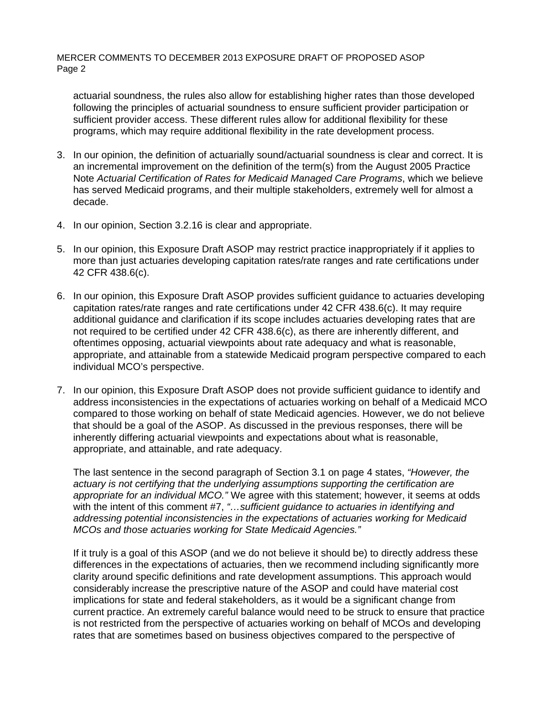MERCER COMMENTS TO DECEMBER 2013 EXPOSURE DRAFT OF PROPOSED ASOP Page 2

actuarial soundness, the rules also allow for establishing higher rates than those developed following the principles of actuarial soundness to ensure sufficient provider participation or sufficient provider access. These different rules allow for additional flexibility for these programs, which may require additional flexibility in the rate development process.

- 3. In our opinion, the definition of actuarially sound/actuarial soundness is clear and correct. It is an incremental improvement on the definition of the term(s) from the August 2005 Practice Note *Actuarial Certification of Rates for Medicaid Managed Care Programs*, which we believe has served Medicaid programs, and their multiple stakeholders, extremely well for almost a decade.
- 4. In our opinion, Section 3.2.16 is clear and appropriate.
- 5. In our opinion, this Exposure Draft ASOP may restrict practice inappropriately if it applies to more than just actuaries developing capitation rates/rate ranges and rate certifications under 42 CFR 438.6(c).
- 6. In our opinion, this Exposure Draft ASOP provides sufficient guidance to actuaries developing capitation rates/rate ranges and rate certifications under 42 CFR 438.6(c). It may require additional guidance and clarification if its scope includes actuaries developing rates that are not required to be certified under 42 CFR 438.6(c), as there are inherently different, and oftentimes opposing, actuarial viewpoints about rate adequacy and what is reasonable, appropriate, and attainable from a statewide Medicaid program perspective compared to each individual MCO's perspective.
- 7. In our opinion, this Exposure Draft ASOP does not provide sufficient guidance to identify and address inconsistencies in the expectations of actuaries working on behalf of a Medicaid MCO compared to those working on behalf of state Medicaid agencies. However, we do not believe that should be a goal of the ASOP. As discussed in the previous responses, there will be inherently differing actuarial viewpoints and expectations about what is reasonable, appropriate, and attainable, and rate adequacy.

The last sentence in the second paragraph of Section 3.1 on page 4 states, *"However, the actuary is not certifying that the underlying assumptions supporting the certification are appropriate for an individual MCO."* We agree with this statement; however, it seems at odds with the intent of this comment #7, *"…sufficient guidance to actuaries in identifying and addressing potential inconsistencies in the expectations of actuaries working for Medicaid MCOs and those actuaries working for State Medicaid Agencies."*

If it truly is a goal of this ASOP (and we do not believe it should be) to directly address these differences in the expectations of actuaries, then we recommend including significantly more clarity around specific definitions and rate development assumptions. This approach would considerably increase the prescriptive nature of the ASOP and could have material cost implications for state and federal stakeholders, as it would be a significant change from current practice. An extremely careful balance would need to be struck to ensure that practice is not restricted from the perspective of actuaries working on behalf of MCOs and developing rates that are sometimes based on business objectives compared to the perspective of